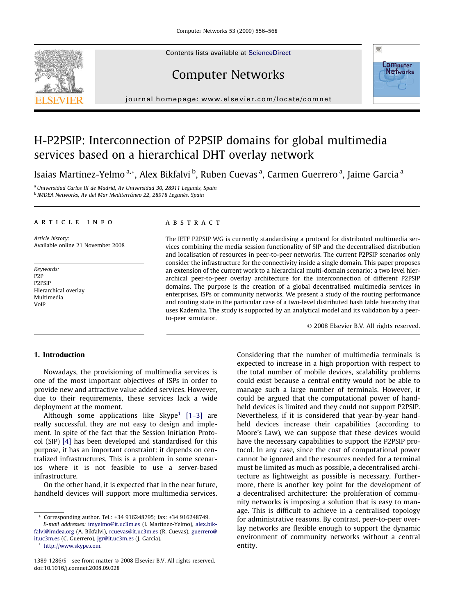Contents lists available at [ScienceDirect](http://www.sciencedirect.com/science/journal/13891286)



# Computer Networks



journal homepage: [www.elsevier.com/locate/comnet](http://www.elsevier.com/locate/comnet)

# H-P2PSIP: Interconnection of P2PSIP domains for global multimedia services based on a hierarchical DHT overlay network

Isaias Martinez-Yelmo <sup>a,</sup>\*, Alex Bikfalvi <sup>b</sup>, Ruben Cuevas <sup>a</sup>, Carmen Guerrero <sup>a</sup>, Jaime Garcia <sup>a</sup>

<sup>a</sup> Universidad Carlos III de Madrid, Av Universidad 30, 28911 Leganés, Spain <sup>b</sup> IMDEA Networks, Av del Mar Mediterráneo 22, 28918 Leganés, Spain

## article info

Article history: Available online 21 November 2008

Keywords: P2P P2PSIP Hierarchical overlay Multimedia VoIP

# **ABSTRACT**

The IETF P2PSIP WG is currently standardising a protocol for distributed multimedia services combining the media session functionality of SIP and the decentralised distribution and localisation of resources in peer-to-peer networks. The current P2PSIP scenarios only consider the infrastructure for the connectivity inside a single domain. This paper proposes an extension of the current work to a hierarchical multi-domain scenario: a two level hierarchical peer-to-peer overlay architecture for the interconnection of different P2PSIP domains. The purpose is the creation of a global decentralised multimedia services in enterprises, ISPs or community networks. We present a study of the routing performance and routing state in the particular case of a two-level distributed hash table hierarchy that uses Kademlia. The study is supported by an analytical model and its validation by a peerto-peer simulator.

© 2008 Elsevier B.V. All rights reserved.

## 1. Introduction

Nowadays, the provisioning of multimedia services is one of the most important objectives of ISPs in order to provide new and attractive value added services. However, due to their requirements, these services lack a wide deployment at the moment.

Although some applications like Skype<sup>1</sup> [1-3] are really successful, they are not easy to design and implement. In spite of the fact that the Session Initiation Protocol (SIP) [\[4\]](#page-11-0) has been developed and standardised for this purpose, it has an important constraint: it depends on centralized infrastructures. This is a problem in some scenarios where it is not feasible to use a server-based infrastructure.

On the other hand, it is expected that in the near future, handheld devices will support more multimedia services.

<sup>1</sup> <http://www.skype.com>.

Considering that the number of multimedia terminals is expected to increase in a high proportion with respect to the total number of mobile devices, scalability problems could exist because a central entity would not be able to manage such a large number of terminals. However, it could be argued that the computational power of handheld devices is limited and they could not support P2PSIP. Nevertheless, if it is considered that year-by-year handheld devices increase their capabilities (according to Moore's Law), we can suppose that these devices would have the necessary capabilities to support the P2PSIP protocol. In any case, since the cost of computational power cannot be ignored and the resources needed for a terminal must be limited as much as possible, a decentralised architecture as lightweight as possible is necessary. Furthermore, there is another key point for the development of a decentralised architecture: the proliferation of community networks is imposing a solution that is easy to manage. This is difficult to achieve in a centralised topology for administrative reasons. By contrast, peer-to-peer overlay networks are flexible enough to support the dynamic environment of community networks without a central entity.

Corresponding author. Tel.: +34 916248795; fax: +34 916248749. E-mail addresses: [imyelmo@it.uc3m.es](mailto:imyelmo@it.uc3m.es) (I. Martinez-Yelmo), [alex.bik](mailto:alex.bikfalvi@imdea.org)[falvi@imdea.org](mailto:alex.bikfalvi@imdea.org) (A. Bikfalvi), [rcuevas@it.uc3m.es](mailto:rcuevas@it.uc3m.es) (R. Cuevas), [guerrero@](mailto:guerrero@it.uc3m.es) [it.uc3m.es](mailto:guerrero@it.uc3m.es) (C. Guerrero), [jgr@it.uc3m.es](mailto:jgr@it.uc3m.es) (J. Garcia).

<sup>1389-1286/\$ -</sup> see front matter  $\odot$  2008 Elsevier B.V. All rights reserved. doi:10.1016/j.comnet.2008.09.028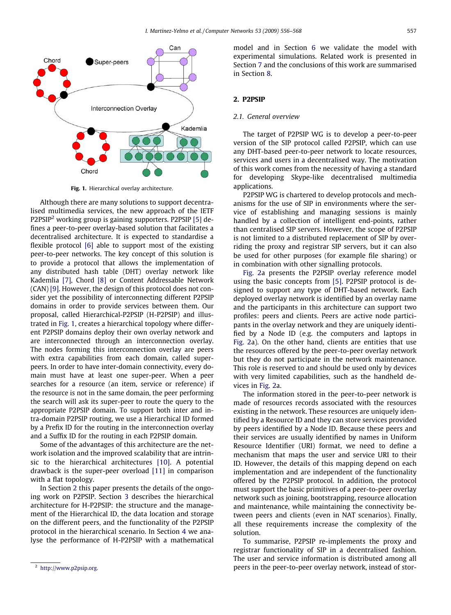

Fig. 1. Hierarchical overlay architecture.

Although there are many solutions to support decentralised multimedia services, the new approach of the IETF P2PSIP2 working group is gaining supporters. P2PSIP [\[5\]](#page-11-0) defines a peer-to-peer overlay-based solution that facilitates a decentralised architecture. It is expected to standardise a flexible protocol [\[6\]](#page-11-0) able to support most of the existing peer-to-peer networks. The key concept of this solution is to provide a protocol that allows the implementation of any distributed hash table (DHT) overlay network like Kademlia [\[7\],](#page-11-0) Chord [\[8\]](#page-11-0) or Content Addressable Network (CAN) [\[9\].](#page-11-0) However, the design of this protocol does not consider yet the possibility of interconnecting different P2PSIP domains in order to provide services between them. Our proposal, called Hierarchical-P2PSIP (H-P2PSIP) and illustrated in Fig. 1, creates a hierarchical topology where different P2PSIP domains deploy their own overlay network and are interconnected through an interconnection overlay. The nodes forming this interconnection overlay are peers with extra capabilities from each domain, called superpeers. In order to have inter-domain connectivity, every domain must have at least one super-peer. When a peer searches for a resource (an item, service or reference) if the resource is not in the same domain, the peer performing the search will ask its super-peer to route the query to the appropriate P2PSIP domain. To support both inter and intra-domain P2PSIP routing, we use a Hierarchical ID formed by a Prefix ID for the routing in the interconnection overlay and a Suffix ID for the routing in each P2PSIP domain.

Some of the advantages of this architecture are the network isolation and the improved scalability that are intrinsic to the hierarchical architectures [\[10\]](#page-11-0). A potential drawback is the super-peer overload [\[11\]](#page-11-0) in comparison with a flat topology.

In Section 2 this paper presents the details of the ongoing work on P2PSIP. Section 3 describes the hierarchical architecture for H-P2PSIP: the structure and the management of the Hierarchical ID, the data location and storage on the different peers, and the functionality of the P2PSIP protocol in the hierarchical scenario. In Section 4 we analyse the performance of H-P2PSIP with a mathematical model and in Section 6 we validate the model with experimental simulations. Related work is presented in Section 7 and the conclusions of this work are summarised in Section 8.

#### 2. P2PSIP

#### 2.1. General overview

The target of P2PSIP WG is to develop a peer-to-peer version of the SIP protocol called P2PSIP, which can use any DHT-based peer-to-peer network to locate resources, services and users in a decentralised way. The motivation of this work comes from the necessity of having a standard for developing Skype-like decentralised multimedia applications.

P2PSIP WG is chartered to develop protocols and mechanisms for the use of SIP in environments where the service of establishing and managing sessions is mainly handled by a collection of intelligent end-points, rather than centralised SIP servers. However, the scope of P2PSIP is not limited to a distributed replacement of SIP by overriding the proxy and registrar SIP servers, but it can also be used for other purposes (for example file sharing) or in combination with other signalling protocols.

[Fig. 2a](#page-2-0) presents the P2PSIP overlay reference model using the basic concepts from [\[5\]](#page-11-0). P2PSIP protocol is designed to support any type of DHT-based network. Each deployed overlay network is identified by an overlay name and the participants in this architecture can support two profiles: peers and clients. Peers are active node participants in the overlay network and they are uniquely identified by a Node ID (e.g. the computers and laptops in [Fig. 2](#page-2-0)a). On the other hand, clients are entities that use the resources offered by the peer-to-peer overlay network but they do not participate in the network maintenance. This role is reserved to and should be used only by devices with very limited capabilities, such as the handheld devices in [Fig. 2a](#page-2-0).

The information stored in the peer-to-peer network is made of resources records associated with the resources existing in the network. These resources are uniquely identified by a Resource ID and they can store services provided by peers identified by a Node ID. Because these peers and their services are usually identified by names in Uniform Resource Identifier (URI) format, we need to define a mechanism that maps the user and service URI to their ID. However, the details of this mapping depend on each implementation and are independent of the functionality offered by the P2PSIP protocol. In addition, the protocol must support the basic primitives of a peer-to-peer overlay network such as joining, bootstrapping, resource allocation and maintenance, while maintaining the connectivity between peers and clients (even in NAT scenarios). Finally, all these requirements increase the complexity of the solution.

To summarise, P2PSIP re-implements the proxy and registrar functionality of SIP in a decentralised fashion. The user and service information is distributed among all <sup>2</sup> [http://www.p2psip.org.](http://www.p2psip.org) **but a state of stor-** 2 http://www.p2psip.org. **2 http://www.p2psip.org.**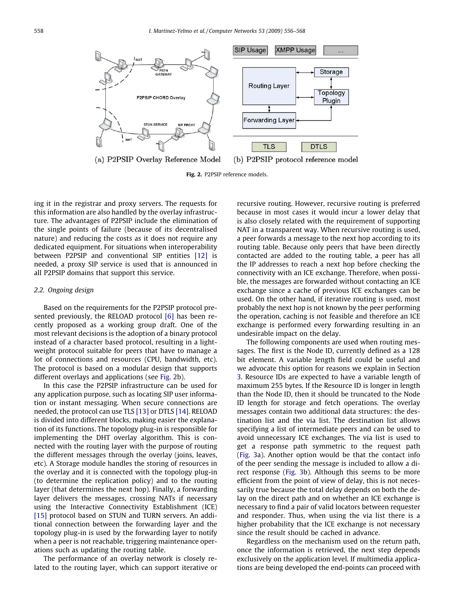<span id="page-2-0"></span>

Fig. 2. P2PSIP reference models.

ing it in the registrar and proxy servers. The requests for this information are also handled by the overlay infrastructure. The advantages of P2PSIP include the elimination of the single points of failure (because of its decentralised nature) and reducing the costs as it does not require any dedicated equipment. For situations when interoperability between P2PSIP and conventional SIP entities [\[12\]](#page-11-0) is needed, a proxy SIP service is used that is announced in all P2PSIP domains that support this service.

#### 2.2. Ongoing design

Based on the requirements for the P2PSIP protocol presented previously, the RELOAD protocol [\[6\]](#page-11-0) has been recently proposed as a working group draft. One of the most relevant decisions is the adoption of a binary protocol instead of a character based protocol, resulting in a lightweight protocol suitable for peers that have to manage a lot of connections and resources (CPU, bandwidth, etc). The protocol is based on a modular design that supports different overlays and applications (see Fig. 2b).

In this case the P2PSIP infrastructure can be used for any application purpose, such as locating SIP user information or instant messaging. When secure connections are needed, the protocol can use TLS [\[13\]](#page-11-0) or DTLS [\[14\].](#page-11-0) RELOAD is divided into different blocks, making easier the explanation of its functions. The topology plug-in is responsible for implementing the DHT overlay algorithm. This is connected with the routing layer with the purpose of routing the different messages through the overlay (joins, leaves, etc). A Storage module handles the storing of resources in the overlay and it is connected with the topology plug-in (to determine the replication policy) and to the routing layer (that determines the next hop). Finally, a forwarding layer delivers the messages, crossing NATs if necessary using the Interactive Connectivity Establishment (ICE) [\[15\]](#page-11-0) protocol based on STUN and TURN servers. An additional connection between the forwarding layer and the topology plug-in is used by the forwarding layer to notify when a peer is not reachable, triggering maintenance operations such as updating the routing table.

The performance of an overlay network is closely related to the routing layer, which can support iterative or

recursive routing. However, recursive routing is preferred because in most cases it would incur a lower delay that is also closely related with the requirement of supporting NAT in a transparent way. When recursive routing is used, a peer forwards a message to the next hop according to its routing table. Because only peers that have been directly contacted are added to the routing table, a peer has all the IP addresses to reach a next hop before checking the connectivity with an ICE exchange. Therefore, when possible, the messages are forwarded without contacting an ICE exchange since a cache of previous ICE exchanges can be used. On the other hand, if iterative routing is used, most probably the next hop is not known by the peer performing the operation, caching is not feasible and therefore an ICE exchange is performed every forwarding resulting in an undesirable impact on the delay.

The following components are used when routing messages. The first is the Node ID, currently defined as a 128 bit element. A variable length field could be useful and we advocate this option for reasons we explain in Section 3. Resource IDs are expected to have a variable length of maximum 255 bytes. If the Resource ID is longer in length than the Node ID, then it should be truncated to the Node ID length for storage and fetch operations. The overlay messages contain two additional data structures: the destination list and the via list. The destination list allows specifying a list of intermediate peers and can be used to avoid unnecessary ICE exchanges. The via list is used to get a response path symmetric to the request path [\(Fig. 3a](#page-3-0)). Another option would be that the contact info of the peer sending the message is included to allow a direct response ([Fig. 3](#page-3-0)b). Although this seems to be more efficient from the point of view of delay, this is not necessarily true because the total delay depends on both the delay on the direct path and on whether an ICE exchange is necessary to find a pair of valid locators between requester and responder. Thus, when using the via list there is a higher probability that the ICE exchange is not necessary since the result should be cached in advance.

Regardless on the mechanism used on the return path, once the information is retrieved, the next step depends exclusively on the application level. If multimedia applications are being developed the end-points can proceed with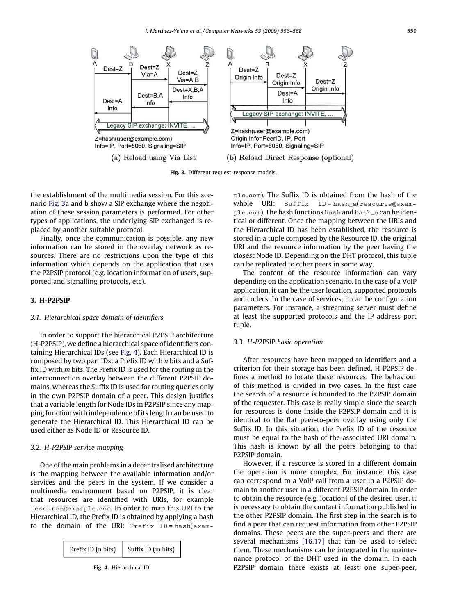<span id="page-3-0"></span>

Fig. 3. Different request-response models.

the establishment of the multimedia session. For this scenario Fig. 3a and b show a SIP exchange where the negotiation of these session parameters is performed. For other types of applications, the underlying SIP exchanged is replaced by another suitable protocol.

Finally, once the communication is possible, any new information can be stored in the overlay network as resources. There are no restrictions upon the type of this information which depends on the application that uses the P2PSIP protocol (e.g. location information of users, supported and signalling protocols, etc).

## 3. H-P2PSIP

## 3.1. Hierarchical space domain of identifiers

In order to support the hierarchical P2PSIP architecture (H-P2PSIP), we define a hierarchical space of identifiers containing Hierarchical IDs (see Fig. 4). Each Hierarchical ID is composed by two part IDs: a Prefix ID with n bits and a Suffix ID with m bits. The Prefix ID is used for the routing in the interconnection overlay between the different P2PSIP domains, whereas the Suffix ID is used for routing queries only in the own P2PSIP domain of a peer. This design justifies that a variable length for Node IDs in P2PSIP since any mapping function with independence of its length can be used to generate the Hierarchical ID. This Hierarchical ID can be used either as Node ID or Resource ID.

## 3.2. H-P2PSIP service mapping

One of the main problems in a decentralised architecture is the mapping between the available information and/or services and the peers in the system. If we consider a multimedia environment based on P2PSIP, it is clear that resources are identified with URIs, for example resource@example.com. In order to map this URI to the Hierarchical ID, the Prefix ID is obtained by applying a hash to the domain of the URI: Prefix ID = hash(exam-



ple.com). The Suffix ID is obtained from the hash of the whole URI: Suffix ID = hash\_a(resource@example.com). The hash functions hash and hash\_a can be identical or different. Once the mapping between the URIs and the Hierarchical ID has been established, the resource is stored in a tuple composed by the Resource ID, the original URI and the resource information by the peer having the closest Node ID. Depending on the DHT protocol, this tuple can be replicated to other peers in some way.

The content of the resource information can vary depending on the application scenario. In the case of a VoIP application, it can be the user location, supported protocols and codecs. In the case of services, it can be configuration parameters. For instance, a streaming server must define at least the supported protocols and the IP address-port tuple.

### 3.3. H-P2PSIP basic operation

After resources have been mapped to identifiers and a criterion for their storage has been defined, H-P2PSIP defines a method to locate these resources. The behaviour of this method is divided in two cases. In the first case the search of a resource is bounded to the P2PSIP domain of the requester. This case is really simple since the search for resources is done inside the P2PSIP domain and it is identical to the flat peer-to-peer overlay using only the Suffix ID. In this situation, the Prefix ID of the resource must be equal to the hash of the associated URI domain. This hash is known by all the peers belonging to that P2PSIP domain.

However, if a resource is stored in a different domain the operation is more complex. For instance, this case can correspond to a VoIP call from a user in a P2PSIP domain to another user in a different P2PSIP domain. In order to obtain the resource (e.g. location) of the desired user, it is necessary to obtain the contact information published in the other P2PSIP domain. The first step in the search is to find a peer that can request information from other P2PSIP domains. These peers are the super-peers and there are several mechanisms [\[16,17\]](#page-11-0) that can be used to select them. These mechanisms can be integrated in the maintenance protocol of the DHT used in the domain. In each P2PSIP domain there exists at least one super-peer,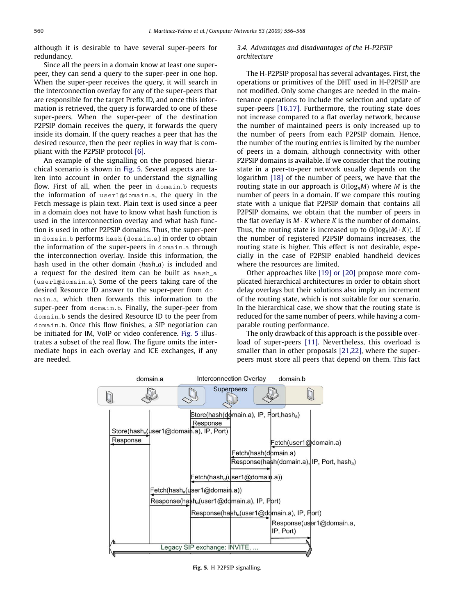although it is desirable to have several super-peers for redundancy.

Since all the peers in a domain know at least one superpeer, they can send a query to the super-peer in one hop. When the super-peer receives the query, it will search in the interconnection overlay for any of the super-peers that are responsible for the target Prefix ID, and once this information is retrieved, the query is forwarded to one of these super-peers. When the super-peer of the destination P2PSIP domain receives the query, it forwards the query inside its domain. If the query reaches a peer that has the desired resource, then the peer replies in way that is compliant with the P2PSIP protocol [\[6\].](#page-11-0)

An example of the signalling on the proposed hierarchical scenario is shown in Fig. 5. Several aspects are taken into account in order to understand the signalling flow. First of all, when the peer in domain.b requests the information of user1@domain.a, the query in the Fetch message is plain text. Plain text is used since a peer in a domain does not have to know what hash function is used in the interconnection overlay and what hash function is used in other P2PSIP domains. Thus, the super-peer in domain.b performs hash (domain.a) in order to obtain the information of the super-peers in domain.a through the interconnection overlay. Inside this information, the hash used in the other domain  $(hash_a)$  is included and a request for the desired item can be built as hash\_a (user1@domain.a). Some of the peers taking care of the desired Resource ID answer to the super-peer from domain.a, which then forwards this information to the super-peer from domain.b. Finally, the super-peer from domain.b sends the desired Resource ID to the peer from domain.b. Once this flow finishes, a SIP negotiation can be initiated for IM, VoIP or video conference. Fig. 5 illustrates a subset of the real flow. The figure omits the intermediate hops in each overlay and ICE exchanges, if any are needed.

# 3.4. Advantages and disadvantages of the H-P2PSIP architecture

The H-P2PSIP proposal has several advantages. First, the operations or primitives of the DHT used in H-P2PSIP are not modified. Only some changes are needed in the maintenance operations to include the selection and update of super-peers [\[16,17\].](#page-11-0) Furthermore, the routing state does not increase compared to a flat overlay network, because the number of maintained peers is only increased up to the number of peers from each P2PSIP domain. Hence, the number of the routing entries is limited by the number of peers in a domain, although connectivity with other P2PSIP domains is available. If we consider that the routing state in a peer-to-peer network usually depends on the logarithm [\[18\]](#page-12-0) of the number of peers, we have that the routing state in our approach is  $O(log<sub>B</sub>M)$  where M is the number of peers in a domain. If we compare this routing state with a unique flat P2PSIP domain that contains all P2PSIP domains, we obtain that the number of peers in the flat overlay is  $M \cdot K$  where K is the number of domains. Thus, the routing state is increased up to  $O(\log_{\text{B}}(M\cdot K)).$  If the number of registered P2PSIP domains increases, the routing state is higher. This effect is not desirable, especially in the case of P2PSIP enabled handheld devices where the resources are limited.

Other approaches like [\[19\] or \[20\]](#page-12-0) propose more complicated hierarchical architectures in order to obtain short delay overlays but their solutions also imply an increment of the routing state, which is not suitable for our scenario. In the hierarchical case, we show that the routing state is reduced for the same number of peers, while having a comparable routing performance.

The only drawback of this approach is the possible overload of super-peers [\[11\].](#page-11-0) Nevertheless, this overload is smaller than in other proposals [\[21,22\],](#page-12-0) where the superpeers must store all peers that depend on them. This fact



Fig. 5. H-P2PSIP signalling.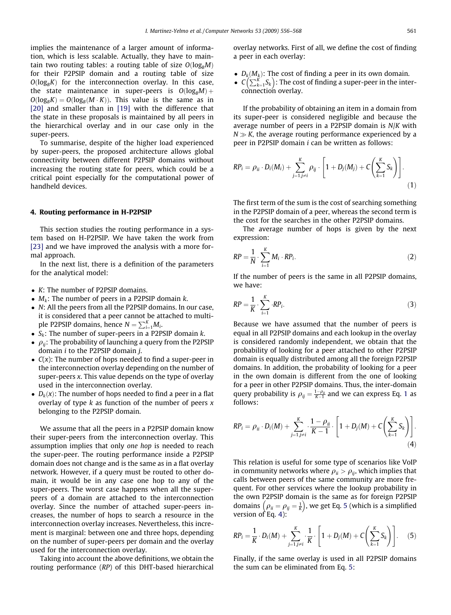implies the maintenance of a larger amount of information, which is less scalable. Actually, they have to maintain two routing tables: a routing table of size  $O(log_B M)$ for their P2PSIP domain and a routing table of size  $O(log_{B}K)$  for the interconnection overlay. In this case, the state maintenance in super-peers is  $O(log_B M)$  +  $O(log_B K) = O(log_B(M \cdot K))$ . This value is the same as in [\[20\]](#page-12-0) and smaller than in [\[19\]](#page-12-0) with the difference that the state in these proposals is maintained by all peers in the hierarchical overlay and in our case only in the super-peers.

To summarise, despite of the higher load experienced by super-peers, the proposed architecture allows global connectivity between different P2PSIP domains without increasing the routing state for peers, which could be a critical point especially for the computational power of handheld devices.

## 4. Routing performance in H-P2PSIP

This section studies the routing performance in a system based on H-P2PSIP. We have taken the work from [\[23\]](#page-12-0) and we have improved the analysis with a more formal approach.

In the next list, there is a definition of the parameters for the analytical model:

- K: The number of P2PSIP domains.
- $\bullet$   $M_k$ : The number of peers in a P2PSIP domain k.
- N: All the peers from all the P2PSIP domains. In our case, it is considered that a peer cannot be attached to multiple P2PSIP domains, hence  $N = \sum_{i=1}^{K} M_i$ .
- $S_k$ : The number of super-peers in a P2PSIP domain k.
- $\rho_{ii}$ : The probability of launching a query from the P2PSIP domain i to the P2PSIP domain j.
- $\bullet$   $C(x)$ : The number of hops needed to find a super-peer in the interconnection overlay depending on the number of super-peers x. This value depends on the type of overlay used in the interconnection overlay.
- $\bullet$   $D_k(x)$ : The number of hops needed to find a peer in a flat overlay of type  $k$  as function of the number of peers  $x$ belonging to the P2PSIP domain.

We assume that all the peers in a P2PSIP domain know their super-peers from the interconnection overlay. This assumption implies that only one hop is needed to reach the super-peer. The routing performance inside a P2PSIP domain does not change and is the same as in a flat overlay network. However, if a query must be routed to other domain, it would be in any case one hop to any of the super-peers. The worst case happens when all the superpeers of a domain are attached to the interconnection overlay. Since the number of attached super-peers increases, the number of hops to search a resource in the interconnection overlay increases. Nevertheless, this increment is marginal: between one and three hops, depending on the number of super-peers per domain and the overlay used for the interconnection overlay.

Taking into account the above definitions, we obtain the routing performance (RP) of this DHT-based hierarchical

overlay networks. First of all, we define the cost of finding a peer in each overlay:

- $D_k(M_k)$ : The cost of finding a peer in its own domain.
- $D_k(m_k)$ . The cost of finding a peer in its own domain.<br>•  $C\left(\sum_{k=1}^K S_k\right)$ : The cost of finding a super-peer in the interconnection overlay.

If the probability of obtaining an item in a domain from its super-peer is considered negligible and because the average number of peers in a P2PSIP domain is N/K with  $N \gg K$ , the average routing performance experienced by a peer in P2PSIP domain i can be written as follows:

$$
RP_i = \rho_{ii} \cdot D_i(M_i) + \sum_{j=1, j \neq i}^{K} \rho_{ij} \cdot \left[1 + D_j(M_j) + C\left(\sum_{k=1}^{K} S_k\right)\right].
$$
\n(1)

The first term of the sum is the cost of searching something in the P2PSIP domain of a peer, whereas the second term is the cost for the searches in the other P2PSIP domains.

The average number of hops is given by the next expression:

$$
RP = \frac{1}{N} \cdot \sum_{i=1}^{K} M_i \cdot RP_i.
$$
 (2)

If the number of peers is the same in all P2PSIP domains, we have:

$$
RP = \frac{1}{K} \cdot \sum_{i=1}^{K} \cdot RP_i. \tag{3}
$$

Because we have assumed that the number of peers is equal in all P2PSIP domains and each lookup in the overlay is considered randomly independent, we obtain that the probability of looking for a peer attached to other P2PSIP domain is equally distributed among all the foreign P2PSIP domains. In addition, the probability of looking for a peer in the own domain is different from the one of looking for a peer in other P2PSIP domains. Thus, the inter-domain query probability is  $\rho_{ij} = \frac{1-\rho_{ii}}{K-1}$  and we can express Eq. 1 as follows:

$$
RP_i = \rho_{ii} \cdot D_i(M) + \sum_{j=1, j\neq i}^{K} \cdot \frac{1-\rho_{ii}}{K-1} \cdot \left[1 + D_j(M) + C\left(\sum_{k=1}^{K} S_k\right)\right].
$$
\n(4)

This relation is useful for some type of scenarios like VoIP in community networks where  $\rho_{ii} > \rho_{ij}$ , which implies that calls between peers of the same community are more frequent. For other services where the lookup probability in the own P2PSIP domain is the same as for foreign P2PSIP the own P2P3IP domain is the same as for lotely P2P3IP<br>domains  $(\rho_{ii} = \rho_{ij} = \frac{1}{k})$ , we get Eq. 5 (which is a simplified version of Eq. 4):

$$
RP_i = \frac{1}{K} \cdot D_i(M) + \sum_{j=1, j \neq i}^{K} \cdot \frac{1}{K} \cdot \left[1 + D_j(M) + C\left(\sum_{k=1}^{K} S_k\right)\right].
$$
 (5)

Finally, if the same overlay is used in all P2PSIP domains the sum can be eliminated from Eq. 5: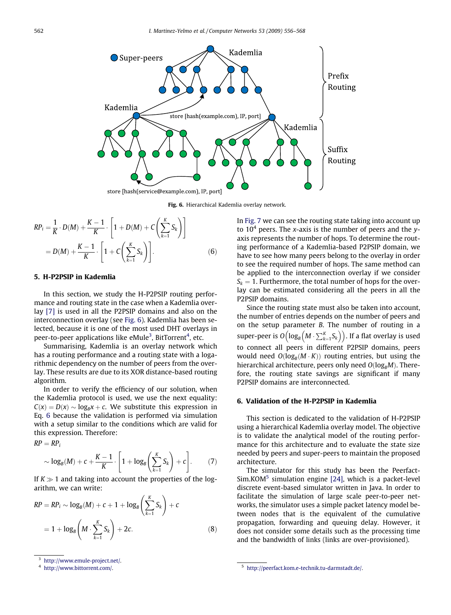<span id="page-6-0"></span>

Fig. 6. Hierarchical Kademlia overlay network.

$$
RP_{i} = \frac{1}{K} \cdot D(M) + \frac{K-1}{K} \cdot \left[ 1 + D(M) + C\left(\sum_{k=1}^{K} S_{k}\right) \right]
$$
  
=  $D(M) + \frac{K-1}{K} \cdot \left[ 1 + C\left(\sum_{k=1}^{K} S_{k}\right) \right].$  (6)

# 5. H-P2PSIP in Kademlia

In this section, we study the H-P2PSIP routing performance and routing state in the case when a Kademlia overlay [\[7\]](#page-11-0) is used in all the P2PSIP domains and also on the interconnection overlay (see Fig. 6). Kademlia has been selected, because it is one of the most used DHT overlays in peer-to-peer applications like eMule<sup>3</sup>, BitTorrent<sup>4</sup>, etc.

Summarising, Kademlia is an overlay network which has a routing performance and a routing state with a logarithmic dependency on the number of peers from the overlay. These results are due to its XOR distance-based routing algorithm.

In order to verify the efficiency of our solution, when the Kademlia protocol is used, we use the next equality:  $C(x) = D(x) \sim log_B x + c$ . We substitute this expression in Eq. 6 because the validation is performed via simulation with a setup similar to the conditions which are valid for this expression. Therefore:

 $RP = RP_i$ 

$$
\sim \log_B(M) + c + \frac{K-1}{K} \cdot \left[1 + \log_B\left(\sum_{k=1}^K S_k\right) + c\right].
$$
 (7)

If  $K \gg 1$  and taking into account the properties of the logarithm, we can write:

$$
RP = RP_i \sim \log_B(M) + c + 1 + \log_B\left(\sum_{k=1}^K S_k\right) + c
$$
  
= 1 + log<sub>B</sub> $\left(M \cdot \sum_{k=1}^K S_k\right) + 2c.$  (8)

In [Fig. 7](#page-7-0) we can see the routing state taking into account up to  $10<sup>4</sup>$  peers. The x-axis is the number of peers and the yaxis represents the number of hops. To determine the routing performance of a Kademlia-based P2PSIP domain, we have to see how many peers belong to the overlay in order to see the required number of hops. The same method can be applied to the interconnection overlay if we consider  $S_k = 1$ . Furthermore, the total number of hops for the overlay can be estimated considering all the peers in all the P2PSIP domains.

Since the routing state must also be taken into account, the number of entries depends on the number of peers and on the setup parameter B. The number of routing in a super-peer is  $O\left(\log_B \left(M \cdot \sum_{k=1}^K S_k\right)\right)$ . If a flat overlay is used to connect all peers in different P2PSIP domains, peers would need  $O(log_B(M \cdot K))$  routing entries, but using the hierarchical architecture, peers only need  $O(log_{B}M)$ . Therefore, the routing state savings are significant if many P2PSIP domains are interconnected.

## 6. Validation of the H-P2PSIP in Kademlia

This section is dedicated to the validation of H-P2PSIP using a hierarchical Kademlia overlay model. The objective is to validate the analytical model of the routing performance for this architecture and to evaluate the state size needed by peers and super-peers to maintain the proposed architecture.

The simulator for this study has been the Peerfact- $Sim. KOM<sup>5</sup>$  simulation engine [\[24\]](#page-12-0), which is a packet-level discrete event-based simulator written in Java. In order to facilitate the simulation of large scale peer-to-peer networks, the simulator uses a simple packet latency model between nodes that is the equivalent of the cumulative propagation, forwarding and queuing delay. However, it does not consider some details such as the processing time and the bandwidth of links (links are over-provisioned).

<http://www.emule-project.net/>.

<sup>4</sup> <http://www.bittorrent.com/>. <sup>5</sup> [http://peerfact.kom.e-technik.tu-darmstadt.de/.](http://peerfact.kom.e-technik.tu-darmstadt.de/)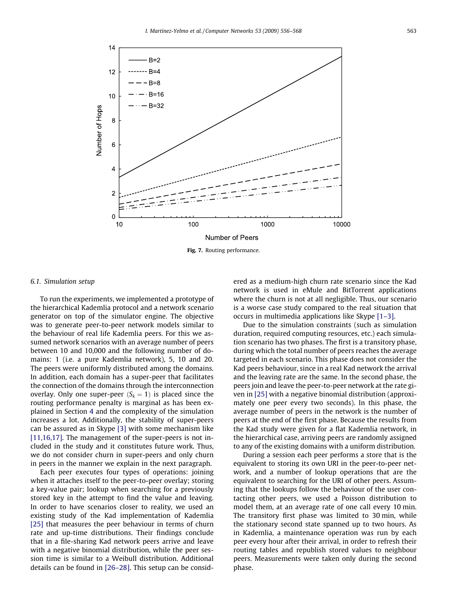<span id="page-7-0"></span>

Fig. 7. Routing performance.

#### 6.1. Simulation setup

To run the experiments, we implemented a prototype of the hierarchical Kademlia protocol and a network scenario generator on top of the simulator engine. The objective was to generate peer-to-peer network models similar to the behaviour of real life Kademlia peers. For this we assumed network scenarios with an average number of peers between 10 and 10,000 and the following number of domains: 1 (i.e. a pure Kademlia network), 5, 10 and 20. The peers were uniformly distributed among the domains. In addition, each domain has a super-peer that facilitates the connection of the domains through the interconnection overlay. Only one super-peer  $(S_k = 1)$  is placed since the routing performance penalty is marginal as has been explained in Section 4 and the complexity of the simulation increases a lot. Additionally, the stability of super-peers can be assured as in Skype [\[3\]](#page-11-0) with some mechanism like [\[11,16,17\]](#page-11-0). The management of the super-peers is not included in the study and it constitutes future work. Thus, we do not consider churn in super-peers and only churn in peers in the manner we explain in the next paragraph.

Each peer executes four types of operations: joining when it attaches itself to the peer-to-peer overlay; storing a key-value pair; lookup when searching for a previously stored key in the attempt to find the value and leaving. In order to have scenarios closer to reality, we used an existing study of the Kad implementation of Kademlia [\[25\]](#page-12-0) that measures the peer behaviour in terms of churn rate and up-time distributions. Their findings conclude that in a file-sharing Kad network peers arrive and leave with a negative binomial distribution, while the peer session time is similar to a Weibull distribution. Additional details can be found in [\[26–28\]](#page-12-0). This setup can be considered as a medium-high churn rate scenario since the Kad network is used in eMule and BitTorrent applications where the churn is not at all negligible. Thus, our scenario is a worse case study compared to the real situation that occurs in multimedia applications like Skype [\[1–3\].](#page-11-0)

Due to the simulation constraints (such as simulation duration, required computing resources, etc.) each simulation scenario has two phases. The first is a transitory phase, during which the total number of peers reaches the average targeted in each scenario. This phase does not consider the Kad peers behaviour, since in a real Kad network the arrival and the leaving rate are the same. In the second phase, the peers join and leave the peer-to-peer network at the rate given in [\[25\]](#page-12-0) with a negative binomial distribution (approximately one peer every two seconds). In this phase, the average number of peers in the network is the number of peers at the end of the first phase. Because the results from the Kad study were given for a flat Kademlia network, in the hierarchical case, arriving peers are randomly assigned to any of the existing domains with a uniform distribution.

During a session each peer performs a store that is the equivalent to storing its own URI in the peer-to-peer network, and a number of lookup operations that are the equivalent to searching for the URI of other peers. Assuming that the lookups follow the behaviour of the user contacting other peers, we used a Poisson distribution to model them, at an average rate of one call every 10 min. The transitory first phase was limited to 30 min, while the stationary second state spanned up to two hours. As in Kademlia, a maintenance operation was run by each peer every hour after their arrival, in order to refresh their routing tables and republish stored values to neighbour peers. Measurements were taken only during the second phase.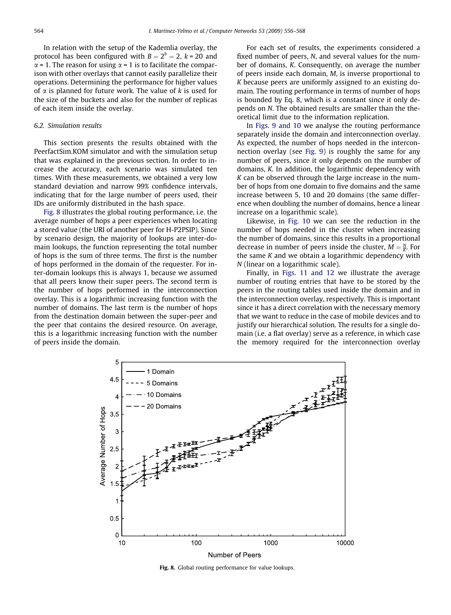In relation with the setup of the Kademlia overlay, the protocol has been configured with  $B = 2^b = 2$ ,  $k = 20$  and  $\alpha$  = 1. The reason for using  $\alpha$  = 1 is to facilitate the comparison with other overlays that cannot easily parallelize their operations. Determining the performance for higher values of  $\alpha$  is planned for future work. The value of k is used for the size of the buckets and also for the number of replicas of each item inside the overlay.

## 6.2. Simulation results

This section presents the results obtained with the PeerfactSim.KOM simulator and with the simulation setup that was explained in the previous section. In order to increase the accuracy, each scenario was simulated ten times. With these measurements, we obtained a very low standard deviation and narrow 99% confidence intervals, indicating that for the large number of peers used, their IDs are uniformly distributed in the hash space.

Fig. 8 illustrates the global routing performance, i.e. the average number of hops a peer experiences when locating a stored value (the URI of another peer for H-P2PSIP). Since by scenario design, the majority of lookups are inter-domain lookups, the function representing the total number of hops is the sum of three terms. The first is the number of hops performed in the domain of the requester. For inter-domain lookups this is always 1, because we assumed that all peers know their super peers. The second term is the number of hops performed in the interconnection overlay. This is a logarithmic increasing function with the number of domains. The last term is the number of hops from the destination domain between the super-peer and the peer that contains the desired resource. On average, this is a logarithmic increasing function with the number of peers inside the domain.

For each set of results, the experiments considered a fixed number of peers, N, and several values for the number of domains, K. Consequently, on average the number of peers inside each domain, M, is inverse proportional to K because peers are uniformly assigned to an existing domain. The routing performance in terms of number of hops is bounded by Eq. [8,](#page-6-0) which is a constant since it only depends on N. The obtained results are smaller than the theoretical limit due to the information replication.

In [Figs. 9 and 10](#page-9-0) we analyse the routing performance separately inside the domain and interconnection overlay. As expected, the number of hops needed in the interconnection overlay (see [Fig. 9](#page-9-0)) is roughly the same for any number of peers, since it only depends on the number of domains, K. In addition, the logarithmic dependency with  $K$  can be observed through the large increase in the number of hops from one domain to five domains and the same increase between 5, 10 and 20 domains (the same difference when doubling the number of domains, hence a linear increase on a logarithmic scale).

Likewise, in [Fig. 10](#page-9-0) we can see the reduction in the number of hops needed in the cluster when increasing the number of domains, since this results in a proportional decrease in number of peers inside the cluster,  $M = \frac{N}{K}$ . For the same K and we obtain a logarithmic dependency with N (linear on a logarithmic scale).

Finally, in [Figs. 11 and 12](#page-10-0) we illustrate the average number of routing entries that have to be stored by the peers in the routing tables used inside the domain and in the interconnection overlay, respectively. This is important since it has a direct correlation with the necessary memory that we want to reduce in the case of mobile devices and to justify our hierarchical solution. The results for a single domain (i.e. a flat overlay) serve as a reference, in which case the memory required for the interconnection overlay



Fig. 8. Global routing performance for value lookups.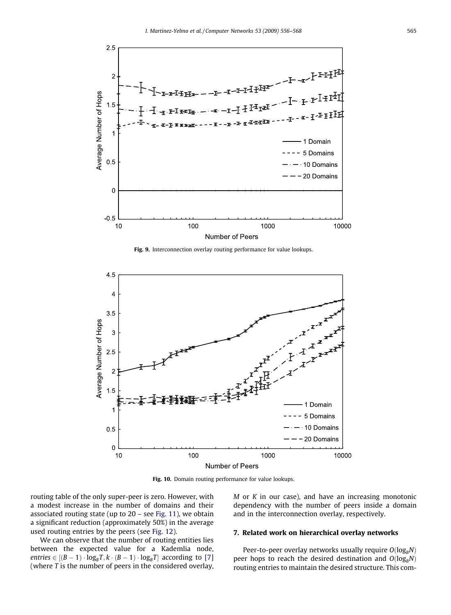<span id="page-9-0"></span>

Fig. 9. Interconnection overlay routing performance for value lookups.



Fig. 10. Domain routing performance for value lookups.

routing table of the only super-peer is zero. However, with a modest increase in the number of domains and their associated routing state (up to 20 – see [Fig. 11](#page-10-0)), we obtain a significant reduction (approximately 50%) in the average used routing entries by the peers (see [Fig. 12](#page-10-0)).

We can observe that the number of routing entities lies between the expected value for a Kademlia node, entries  $\in [(B-1)\cdot \log_B T, k\cdot (B-1)\cdot \log_B T]$  according to [\[7\]](#page-11-0) (where  $T$  is the number of peers in the considered overlay,  $M$  or  $K$  in our case), and have an increasing monotonic dependency with the number of peers inside a domain and in the interconnection overlay, respectively.

## 7. Related work on hierarchical overlay networks

Peer-to-peer overlay networks usually require  $O(log_BN)$ peer hops to reach the desired destination and  $O(log_BN)$ routing entries to maintain the desired structure. This com-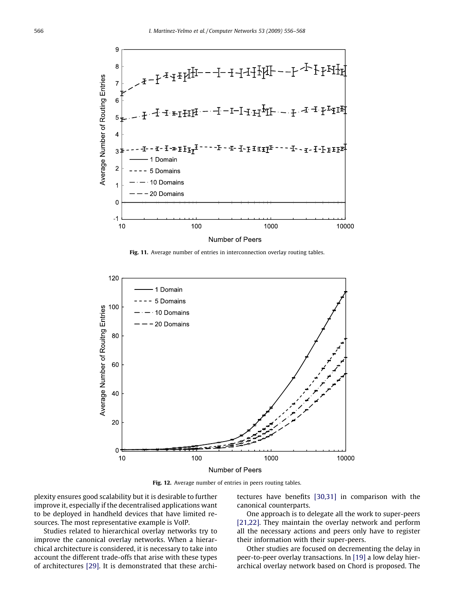<span id="page-10-0"></span>

Fig. 11. Average number of entries in interconnection overlay routing tables.



Fig. 12. Average number of entries in peers routing tables.

plexity ensures good scalability but it is desirable to further improve it, especially if the decentralised applications want to be deployed in handheld devices that have limited resources. The most representative example is VoIP.

Studies related to hierarchical overlay networks try to improve the canonical overlay networks. When a hierarchical architecture is considered, it is necessary to take into account the different trade-offs that arise with these types of architectures [\[29\].](#page-12-0) It is demonstrated that these architectures have benefits [\[30,31\]](#page-12-0) in comparison with the canonical counterparts.

One approach is to delegate all the work to super-peers [\[21,22\]](#page-12-0). They maintain the overlay network and perform all the necessary actions and peers only have to register their information with their super-peers.

Other studies are focused on decrementing the delay in peer-to-peer overlay transactions. In [\[19\]](#page-12-0) a low delay hierarchical overlay network based on Chord is proposed. The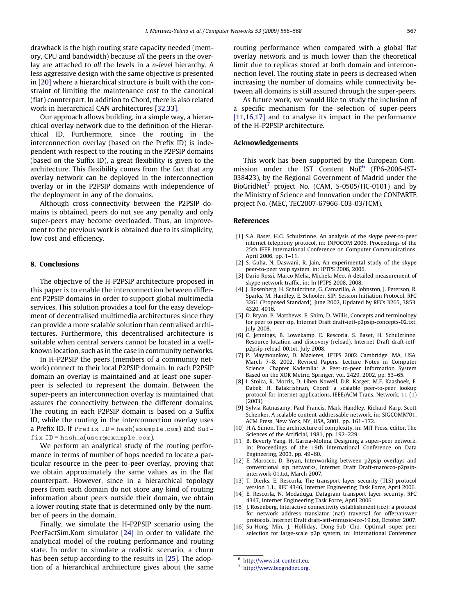<span id="page-11-0"></span>drawback is the high routing state capacity needed (memory, CPU and bandwidth) because all the peers in the overlay are attached to all the levels in a *n-level* hierarchy. A less aggressive design with the same objective is presented in [\[20\]](#page-12-0) where a hierarchical structure is built with the constraint of limiting the maintenance cost to the canonical (flat) counterpart. In addition to Chord, there is also related work in hierarchical CAN architectures [\[32,33\].](#page-12-0)

Our approach allows building, in a simple way, a hierarchical overlay network due to the definition of the Hierarchical ID. Furthermore, since the routing in the interconnection overlay (based on the Prefix ID) is independent with respect to the routing in the P2PSIP domains (based on the Suffix ID), a great flexibility is given to the architecture. This flexibility comes from the fact that any overlay network can be deployed in the interconnection overlay or in the P2PSIP domains with independence of the deployment in any of the domains.

Although cross-connectivity between the P2PSIP domains is obtained, peers do not see any penalty and only super-peers may become overloaded. Thus, an improvement to the previous work is obtained due to its simplicity, low cost and efficiency.

## 8. Conclusions

The objective of the H-P2PSIP architecture proposed in this paper is to enable the interconnection between different P2PSIP domains in order to support global multimedia services. This solution provides a tool for the easy development of decentralised multimedia architectures since they can provide a more scalable solution than centralised architectures. Furthermore, this decentralised architecture is suitable when central servers cannot be located in a wellknown location, such as in the case in community networks.

In H-P2PSIP the peers (members of a community network) connect to their local P2PSIP domain. In each P2PSIP domain an overlay is maintained and at least one superpeer is selected to represent the domain. Between the super-peers an interconnection overlay is maintained that assures the connectivity between the different domains. The routing in each P2PSIP domain is based on a Suffix ID, while the routing in the interconnection overlay uses a Prefix ID. If Prefix ID = hash(example.com) and Suffix ID = hash\_a(user@example.com).

We perform an analytical study of the routing performance in terms of number of hops needed to locate a particular resource in the peer-to-peer overlay, proving that we obtain approximately the same values as in the flat counterpart. However, since in a hierarchical topology peers from each domain do not store any kind of routing information about peers outside their domain, we obtain a lower routing state that is determined only by the number of peers in the domain.

Finally, we simulate the H-P2PSIP scenario using the PeerFactSim.Kom simulator [\[24\]](#page-12-0) in order to validate the analytical model of the routing performance and routing state. In order to simulate a realistic scenario, a churn has been setup according to the results in [\[25\]](#page-12-0). The adoption of a hierarchical architecture gives about the same routing performance when compared with a global flat overlay network and is much lower than the theoretical limit due to replicas stored at both domain and interconnection level. The routing state in peers is decreased when increasing the number of domains while connectivity between all domains is still assured through the super-peers.

As future work, we would like to study the inclusion of a specific mechanism for the selection of super-peers [11,16,17] and to analyse its impact in the performance of the H-P2PSIP architecture.

#### Acknowledgements

This work has been supported by the European Commission under the IST Content NoE<sup>6</sup> (FP6-2006-IST-038423), by the Regional Government of Madrid under the BioGridNet<sup>7</sup> project No. (CAM, S-0505/TIC-0101) and by the Ministry of Science and Innovation under the CONPARTE project No. (MEC, TEC2007-67966-C03-03/TCM).

## References

- [1] S.A. Baset. H.G. Schulzrinne. An analysis of the skype peer-to-peer internet telephony protocol, in: INFOCOM 2006, Proceedings of the 25th IEEE International Conference on Computer Communications, April 2006, pp. 1–11.
- [2] S. Guha, N. Daswani, R. Jain, An experimental study of the skype peer-to-peer voip system, in: IPTPS 2006, 2006.
- [3] Dario Rossi, Marco Melia, Michela Meo, A detailed measurement of skype network traffic, in: In IPTPS 2008, 2008.
- [4] J. Rosenberg, H. Schulzrinne, G. Camarillo, A. Johnston, J. Peterson, R. Sparks, M. Handley, E. Schooler, SIP: Session Initiation Protocol, RFC 3261 (Proposed Standard), June 2002, Updated by RFCs 3265, 3853, 4320, 4916.
- [5] D. Bryan, P. Matthews, E. Shim, D. Willis, Concepts and terminology for peer to peer sip, Internet Draft draft-ietf-p2psip-concepts-02.txt, July 2008.
- [6] C. Jennings, B. Lowekamp, E. Rescorla, S. Baset, H. Schulzrinne, Resource location and discovery (reload), Internet Draft draft-ietfp2psip-reload-00.txt, July 2008.
- [7] P. Maymounkov, D. Mazieres, IPTPS 2002 Cambridge, MA, USA, March 7–8, 2002, Revised Papers, Lecture Notes in Computer Science, Chapter Kademlia: A Peer-to-peer Information System Based on the XOR Metric, Springer, vol. 2429, 2002, pp. 53–65.
- [8] I. Stoica, R. Morris, D. Liben-Nowell, D.R. Karger, M.F. Kaashoek, F. Dabek, H. Balakrishnan, Chord: a scalable peer-to-peer lookup protocol for internet applications, IEEE/ACM Trans. Network. 11 (1) (2003).
- [9] Sylvia Ratnasamy, Paul Francis, Mark Handley, Richard Karp, Scott Schenker, A scalable content-addressable network, in: SIGCOMM'01, ACM Press, New York, NY, USA, 2001. pp. 161–172.
- [10] H.A. Simon, The architecture of complexity, in: MIT Press, editor, The Sciences of the Artificial, 1981, pp. 192–229.
- [11] B. Beverly Yang, H. Garcia-Molina, Designing a super-peer network, in: Proceedings of the 19th International Conference on Data Engineering, 2003, pp. 49–60.
- [12] E. Marocco, D. Bryan, Interworking between p2psip overlays and conventional sip networks, Internet Draft Draft-marocco-p2psipinterwork-01.txt, March 2007.
- [13] T. Dierks, E. Rescorla, The transport layer security (TLS) protocol version 1.1., RFC 4346, Internet Engineering Task Force, April 2006.
- [14] E. Rescorla, N. Modadugu, Datagram transport layer security, RFC 4347, Internet Engineering Task Force, April 2006.
- [15] J. Rosenberg, Interactive connectivity establishment (ice): a protocol for network address translator (nat) traversal for offer/answer protocols, Internet Draft draft-ietf-mmusic-ice-19.txt, October 2007.
- [16] Su-Hong Min, J. Holliday, Dong-Sub Cho, Optimal super-peer selection for large-scale p2p system, in: International Conference

<sup>6</sup> [http://www.ist-content.eu.](http://www.ist-content.eu)

<sup>7</sup> [http://www.biogridnet.org.](http://www.biogridnet.org)